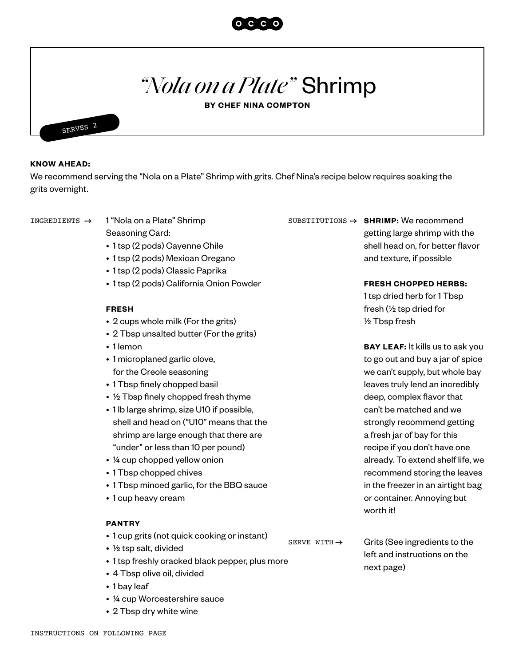

# *"Nola on a Plate"* Shrimp

**BY CHEF NINA COMPTON**



### **KNOW AHEAD:**

We recommend serving the "Nola on a Plate" Shrimp with grits. Chef Nina's recipe below requires soaking the grits overnight.

1 "Nola on a Plate" Shrimp Seasoning Card: INGREDIENTS → 1 "Nola on a Plate" Shrimp SUBSTITUTIONS → SHRIMP: We recommend

- 1 tsp (2 pods) Cayenne Chile
- 1 tsp (2 pods) Mexican Oregano
- 1 tsp (2 pods) Classic Paprika
- 1 tsp (2 pods) California Onion Powder

#### **FRESH**

- 2 cups whole milk (For the grits)
- 2 Tbsp unsalted butter (For the grits)
- 1 lemon
- 1 microplaned garlic clove, for the Creole seasoning
- 1 Tbsp finely chopped basil
- $\frac{1}{2}$  Tbsp finely chopped fresh thyme
- 1 lb large shrimp, size U10 if possible, shell and head on ("U10" means that the shrimp are large enough that there are "under" or less than 10 per pound)
- ¼ cup chopped yellow onion
- 1 Tbsp chopped chives
- 1 Tbsp minced garlic, for the BBQ sauce
- 1 cup heavy cream

### **PANTRY**

- 1 cup grits (not quick cooking or instant)
- ½ tsp salt, divided
- 1 tsp freshly cracked black pepper, plus more
- 4 Tbsp olive oil, divided
- 1 bay leaf
- ¼ cup Worcestershire sauce
- 2 Tbsp dry white wine

SERVE WITH  $\rightarrow$ 

getting large shrimp with the shell head on, for better flavor and texture, if possible

#### **FRESH CHOPPED HERBS:**

1 tsp dried herb for 1 Tbsp fresh (½ tsp dried for ½ Tbsp fresh

**BAY LEAF:** It kills us to ask you to go out and buy a jar of spice we can't supply, but whole bay leaves truly lend an incredibly deep, complex flavor that can't be matched and we strongly recommend getting a fresh jar of bay for this recipe if you don't have one already. To extend shelf life, we recommend storing the leaves in the freezer in an airtight bag or container. Annoying but worth it!

Grits (See ingredients to the left and instructions on the next page)